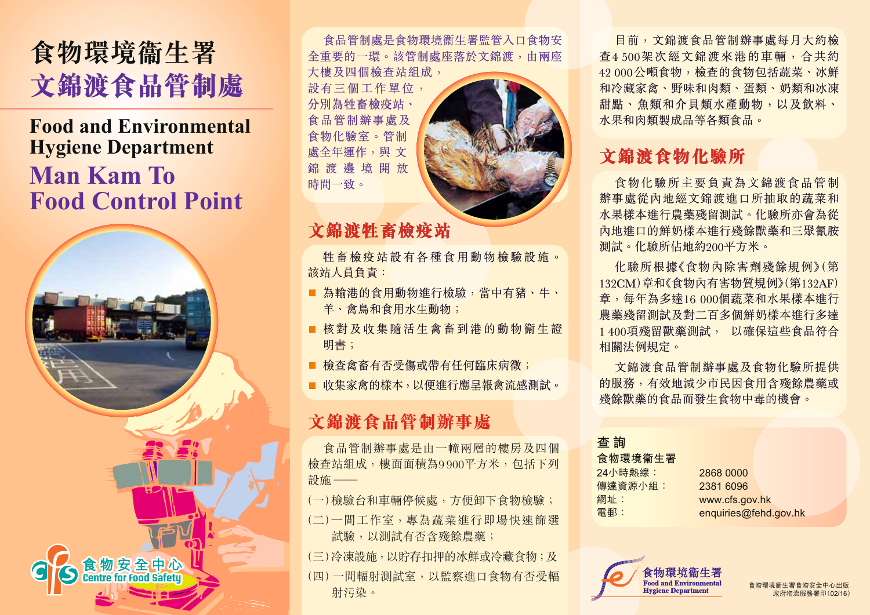

# **Food and Environmental Hygiene Department Man Kam To Food Control Point**



食品管制處是食物環境衞生署監管入口食物安 全重要的一環。該管制處座落於文錦渡,由兩座 大樓及四個檢查站組成,

設有三個工作單位, 分別為牲畜檢疫站、 食品管制辦事處及 食物化驗室。管制 處全年運作,與 文 錦 渡 邊 境 開 放 時間一致。



## **文錦渡牲畜檢疫站**

牲畜檢疫站設有各種食用動物檢驗設施。 該站人員負責:

- 為輸港的食用動物進行檢驗,當中有豬、牛、 羊、禽鳥和食用水生動物;
- 核對及收集隨活生禽畜到港的動物衞生證 明書;
- 檢查禽畜有否受傷或帶有任何臨床病徵;
- 收集家禽的樣本,以便進行應早報禽流感測試。

## **文錦渡食品管制辦事處**

食品管制辦事處是由一幢兩層的樓房及四個 檢查站組成,樓面面積為9 900平方米,包括下列 設施 ——

(一)檢驗台和車輛停候處,方便卸下食物檢驗; (二)一間工作室,專為蔬菜進行即場快速篩選 試驗,以測試有否含殘餘農藥;

(三)冷凍設施,以貯存扣押的冰鮮或冷藏食物;及 (四)一間輻射測試室,以監察進口食物有否受輻 射污染。

目前,文錦渡食品管制辦事處每月大約檢 查4 500架次經文錦渡來港的車輛,合共約 42 000公噸食物,檢查的食物包括蔬菜、冰鮮 和冷藏家禽、野味和肉類、蛋類、奶類和冰凍 甜點、魚類和介貝類水產動物,以及飲料、 水果和肉類製成品等各類食品。

## **文錦渡食物化驗所**

食物化驗所主要負責為文錦渡食品管制 辦事處從內地經文錦渡進口所抽取的蔬菜和 水果樣本進行農藥殘留測試。化驗所亦會為從 內地進口的鮮奶樣本進行殘餘獸藥和三聚氰胺 測試。化驗所佔地約200平方米。

化驗所根據《食物內除害劑殘餘規例》(第 132CM)章和《食物內有害物質規例》(第132AF) 章,每年為多達16 000個蔬菜和水果樣本進行 農藥殘留測試及對二百多個鮮奶樣本進行多達 1 400項殘留獸藥測試, 以確保這些食品符合 相關法例規定。

文錦渡食品管制辦事處及食物化驗所提供 的服務,有效地減少市民因食用含殘餘農藥或 殘餘獸藥的食品而發生食物中毒的機會。

**查 詢**

**食物環境衞生署** 24小時熱線: 2868 0000 傳達資源小組: 2381 6096 網址: www.cfs.gov.hk

電郵: enquiries@fehd.gov.hk



食物環境衞生署食物安全中心出版 政府物流服務署印(02/16)